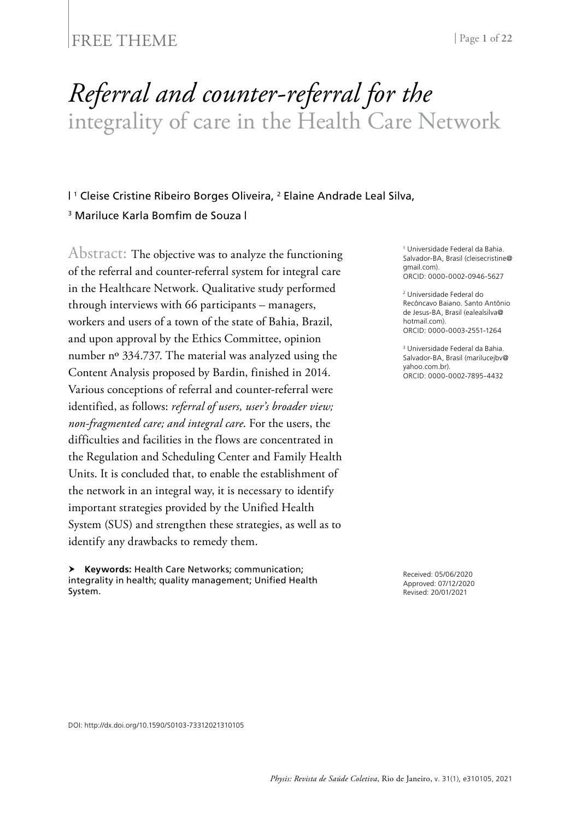#### FREE THEME | Page 1 of 22

# *Referral and counter-referral for the* integrality of care in the Health Care Network

#### I<sup>1</sup> Cleise Cristine Ribeiro Borges Oliveira, <sup>2</sup> Elaine Andrade Leal Silva, <sup>3</sup> Mariluce Karla Bomfim de Souza |

Abstract: The objective was to analyze the functioning of the referral and counter-referral system for integral care in the Healthcare Network. Qualitative study performed through interviews with 66 participants – managers, workers and users of a town of the state of Bahia, Brazil, and upon approval by the Ethics Committee, opinion number nº 334.737. The material was analyzed using the Content Analysis proposed by Bardin, finished in 2014. Various conceptions of referral and counter-referral were identified, as follows: *referral of users, user's broader view; non-fragmented care; and integral care*. For the users, the difficulties and facilities in the flows are concentrated in the Regulation and Scheduling Center and Family Health Units. It is concluded that, to enable the establishment of the network in an integral way, it is necessary to identify important strategies provided by the Unified Health System (SUS) and strengthen these strategies, as well as to identify any drawbacks to remedy them.

 **Keywords:** Health Care Networks; communication; integrality in health; quality management; Unified Health System.

1 Universidade Federal da Bahia. Salvador-BA, Brasil (cleisecristine@ gmail.com). ORCID: 0000-0002-0946-5627

2 Universidade Federal do Recôncavo Baiano. Santo Antônio de Jesus-BA, Brasil (ealealsilva@ hotmail.com) ORCID: 0000-0003-2551-1264

3 Universidade Federal da Bahia. Salvador-BA, Brasil (marilucejbv@ yahoo.com.br). ORCID: 0000-0002-7895-4432

Received: 05/06/2020 Approved: 07/12/2020 Revised: 20/01/2021

DOI: http://dx.doi.org/10.1590/S0103-73312021310105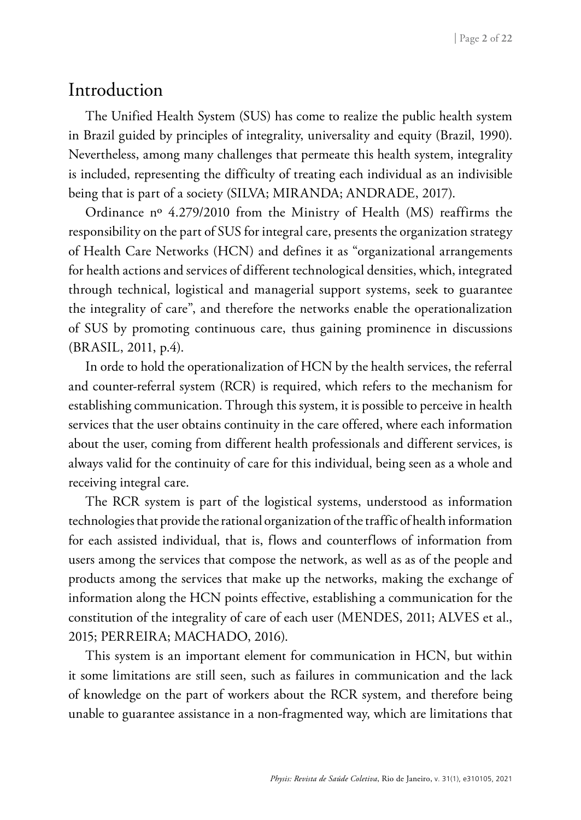### Introduction

The Unified Health System (SUS) has come to realize the public health system in Brazil guided by principles of integrality, universality and equity (Brazil, 1990). Nevertheless, among many challenges that permeate this health system, integrality is included, representing the difficulty of treating each individual as an indivisible being that is part of a society (SILVA; MIRANDA; ANDRADE, 2017).

Ordinance nº 4.279/2010 from the Ministry of Health (MS) reaffirms the responsibility on the part of SUS for integral care, presents the organization strategy of Health Care Networks (HCN) and defines it as "organizational arrangements for health actions and services of different technological densities, which, integrated through technical, logistical and managerial support systems, seek to guarantee the integrality of care", and therefore the networks enable the operationalization of SUS by promoting continuous care, thus gaining prominence in discussions (BRASIL, 2011, p.4).

In orde to hold the operationalization of HCN by the health services, the referral and counter-referral system (RCR) is required, which refers to the mechanism for establishing communication. Through this system, it is possible to perceive in health services that the user obtains continuity in the care offered, where each information about the user, coming from different health professionals and different services, is always valid for the continuity of care for this individual, being seen as a whole and receiving integral care.

The RCR system is part of the logistical systems, understood as information technologies that provide the rational organization of the traffic of health information for each assisted individual, that is, flows and counterflows of information from users among the services that compose the network, as well as as of the people and products among the services that make up the networks, making the exchange of information along the HCN points effective, establishing a communication for the constitution of the integrality of care of each user (MENDES, 2011; ALVES et al., 2015; PERREIRA; MACHADO, 2016).

This system is an important element for communication in HCN, but within it some limitations are still seen, such as failures in communication and the lack of knowledge on the part of workers about the RCR system, and therefore being unable to guarantee assistance in a non-fragmented way, which are limitations that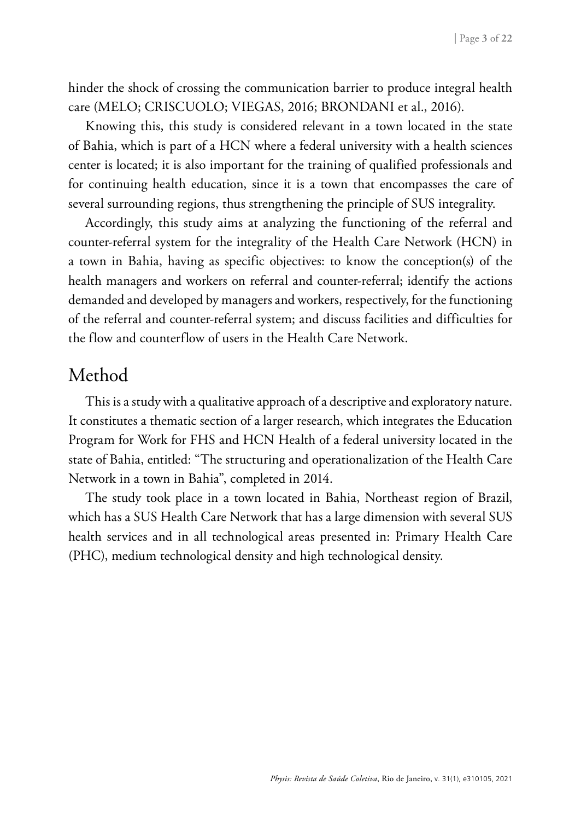hinder the shock of crossing the communication barrier to produce integral health care (MELO; CRISCUOLO; VIEGAS, 2016; BRONDANI et al., 2016).

Knowing this, this study is considered relevant in a town located in the state of Bahia, which is part of a HCN where a federal university with a health sciences center is located; it is also important for the training of qualified professionals and for continuing health education, since it is a town that encompasses the care of several surrounding regions, thus strengthening the principle of SUS integrality.

Accordingly, this study aims at analyzing the functioning of the referral and counter-referral system for the integrality of the Health Care Network (HCN) in a town in Bahia, having as specific objectives: to know the conception(s) of the health managers and workers on referral and counter-referral; identify the actions demanded and developed by managers and workers, respectively, for the functioning of the referral and counter-referral system; and discuss facilities and difficulties for the flow and counterflow of users in the Health Care Network.

### Method

This is a study with a qualitative approach of a descriptive and exploratory nature. It constitutes a thematic section of a larger research, which integrates the Education Program for Work for FHS and HCN Health of a federal university located in the state of Bahia, entitled: "The structuring and operationalization of the Health Care Network in a town in Bahia", completed in 2014.

The study took place in a town located in Bahia, Northeast region of Brazil, which has a SUS Health Care Network that has a large dimension with several SUS health services and in all technological areas presented in: Primary Health Care (PHC), medium technological density and high technological density.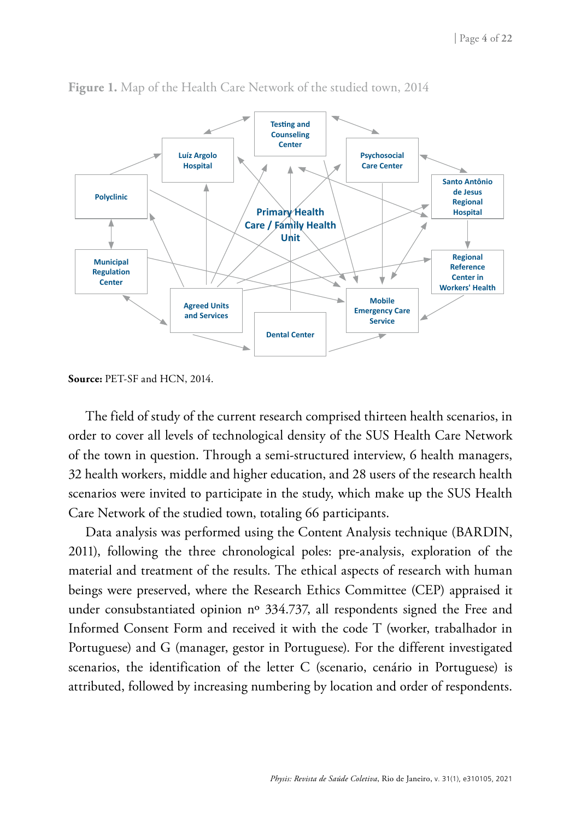

**Figure 1.** Map of the Health Care Network of the studied town, 2014

**Source:** PET-SF and HCN, 2014.

The field of study of the current research comprised thirteen health scenarios, in order to cover all levels of technological density of the SUS Health Care Network of the town in question. Through a semi-structured interview, 6 health managers, 32 health workers, middle and higher education, and 28 users of the research health scenarios were invited to participate in the study, which make up the SUS Health Care Network of the studied town, totaling 66 participants.

Data analysis was performed using the Content Analysis technique (BARDIN, 2011), following the three chronological poles: pre-analysis, exploration of the material and treatment of the results. The ethical aspects of research with human beings were preserved, where the Research Ethics Committee (CEP) appraised it under consubstantiated opinion nº 334.737, all respondents signed the Free and Informed Consent Form and received it with the code T (worker, trabalhador in Portuguese) and G (manager, gestor in Portuguese). For the different investigated scenarios, the identification of the letter C (scenario, cenário in Portuguese) is attributed, followed by increasing numbering by location and order of respondents.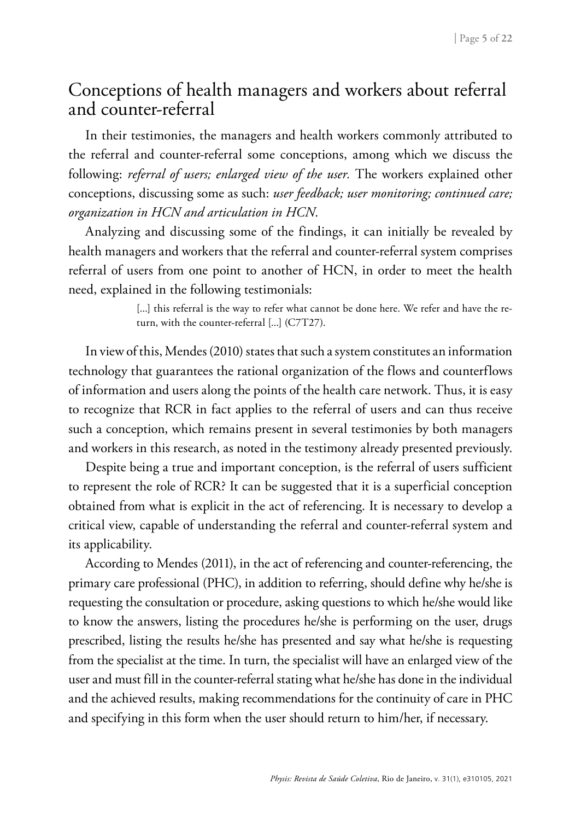### Conceptions of health managers and workers about referral and counter-referral

In their testimonies, the managers and health workers commonly attributed to the referral and counter-referral some conceptions, among which we discuss the following: *referral of users; enlarged view of the user.* The workers explained other conceptions, discussing some as such: *user feedback; user monitoring; continued care; organization in HCN and articulation in HCN*.

Analyzing and discussing some of the findings, it can initially be revealed by health managers and workers that the referral and counter-referral system comprises referral of users from one point to another of HCN, in order to meet the health need, explained in the following testimonials:

> [...] this referral is the way to refer what cannot be done here. We refer and have the return, with the counter-referral [...] (C7T27).

In view of this, Mendes (2010) states that such a system constitutes an information technology that guarantees the rational organization of the flows and counterflows of information and users along the points of the health care network. Thus, it is easy to recognize that RCR in fact applies to the referral of users and can thus receive such a conception, which remains present in several testimonies by both managers and workers in this research, as noted in the testimony already presented previously.

Despite being a true and important conception, is the referral of users sufficient to represent the role of RCR? It can be suggested that it is a superficial conception obtained from what is explicit in the act of referencing. It is necessary to develop a critical view, capable of understanding the referral and counter-referral system and its applicability.

According to Mendes (2011), in the act of referencing and counter-referencing, the primary care professional (PHC), in addition to referring, should define why he/she is requesting the consultation or procedure, asking questions to which he/she would like to know the answers, listing the procedures he/she is performing on the user, drugs prescribed, listing the results he/she has presented and say what he/she is requesting from the specialist at the time. In turn, the specialist will have an enlarged view of the user and must fill in the counter-referral stating what he/she has done in the individual and the achieved results, making recommendations for the continuity of care in PHC and specifying in this form when the user should return to him/her, if necessary.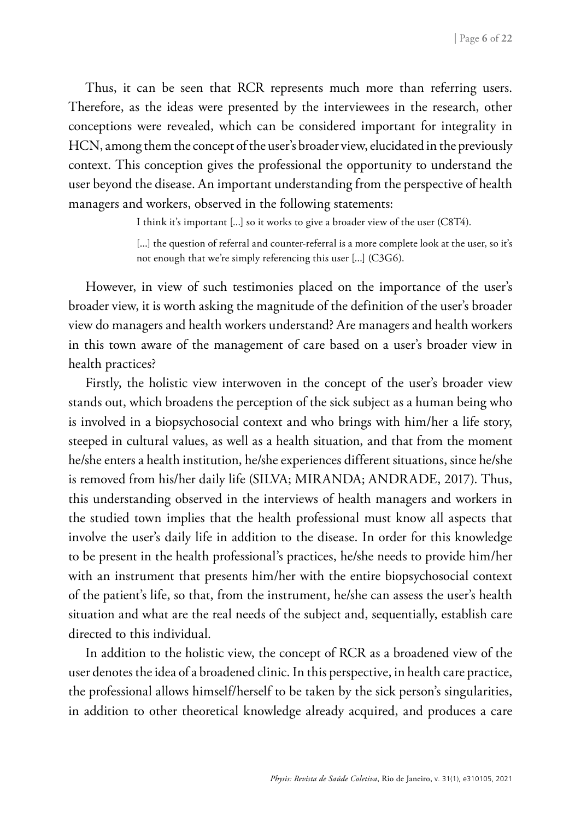Thus, it can be seen that RCR represents much more than referring users. Therefore, as the ideas were presented by the interviewees in the research, other conceptions were revealed, which can be considered important for integrality in HCN, among them the concept of the user's broader view, elucidated in the previously context. This conception gives the professional the opportunity to understand the user beyond the disease. An important understanding from the perspective of health managers and workers, observed in the following statements:

I think it's important [...] so it works to give a broader view of the user (C8T4).

[...] the question of referral and counter-referral is a more complete look at the user, so it's not enough that we're simply referencing this user [...] (C3G6).

However, in view of such testimonies placed on the importance of the user's broader view, it is worth asking the magnitude of the definition of the user's broader view do managers and health workers understand? Are managers and health workers in this town aware of the management of care based on a user's broader view in health practices?

Firstly, the holistic view interwoven in the concept of the user's broader view stands out, which broadens the perception of the sick subject as a human being who is involved in a biopsychosocial context and who brings with him/her a life story, steeped in cultural values, as well as a health situation, and that from the moment he/she enters a health institution, he/she experiences different situations, since he/she is removed from his/her daily life (SILVA; MIRANDA; ANDRADE, 2017). Thus, this understanding observed in the interviews of health managers and workers in the studied town implies that the health professional must know all aspects that involve the user's daily life in addition to the disease. In order for this knowledge to be present in the health professional's practices, he/she needs to provide him/her with an instrument that presents him/her with the entire biopsychosocial context of the patient's life, so that, from the instrument, he/she can assess the user's health situation and what are the real needs of the subject and, sequentially, establish care directed to this individual.

In addition to the holistic view, the concept of RCR as a broadened view of the user denotes the idea of a broadened clinic. In this perspective, in health care practice, the professional allows himself/herself to be taken by the sick person's singularities, in addition to other theoretical knowledge already acquired, and produces a care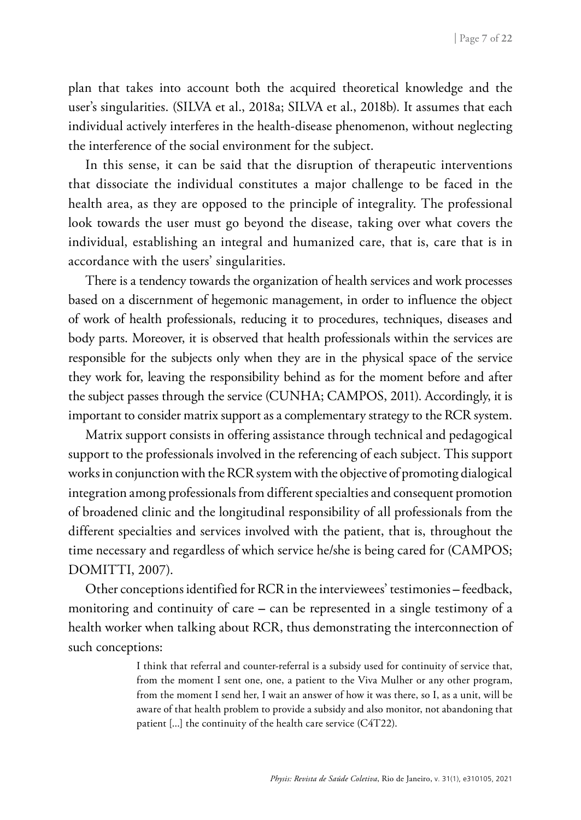plan that takes into account both the acquired theoretical knowledge and the user's singularities. (SILVA et al., 2018a; SILVA et al., 2018b). It assumes that each individual actively interferes in the health-disease phenomenon, without neglecting the interference of the social environment for the subject.

In this sense, it can be said that the disruption of therapeutic interventions that dissociate the individual constitutes a major challenge to be faced in the health area, as they are opposed to the principle of integrality. The professional look towards the user must go beyond the disease, taking over what covers the individual, establishing an integral and humanized care, that is, care that is in accordance with the users' singularities.

There is a tendency towards the organization of health services and work processes based on a discernment of hegemonic management, in order to influence the object of work of health professionals, reducing it to procedures, techniques, diseases and body parts. Moreover, it is observed that health professionals within the services are responsible for the subjects only when they are in the physical space of the service they work for, leaving the responsibility behind as for the moment before and after the subject passes through the service (CUNHA; CAMPOS, 2011). Accordingly, it is important to consider matrix support as a complementary strategy to the RCR system.

Matrix support consists in offering assistance through technical and pedagogical support to the professionals involved in the referencing of each subject. This support works in conjunction with the RCR system with the objective of promoting dialogical integration among professionals from different specialties and consequent promotion of broadened clinic and the longitudinal responsibility of all professionals from the different specialties and services involved with the patient, that is, throughout the time necessary and regardless of which service he/she is being cared for (CAMPOS; DOMITTI, 2007).

Other conceptions identified for RCR in the interviewees' testimonies **–** feedback, monitoring and continuity of care **–** can be represented in a single testimony of a health worker when talking about RCR, thus demonstrating the interconnection of such conceptions:

> I think that referral and counter-referral is a subsidy used for continuity of service that, from the moment I sent one, one, a patient to the Viva Mulher or any other program, from the moment I send her, I wait an answer of how it was there, so I, as a unit, will be aware of that health problem to provide a subsidy and also monitor, not abandoning that patient [...] the continuity of the health care service (C4T22).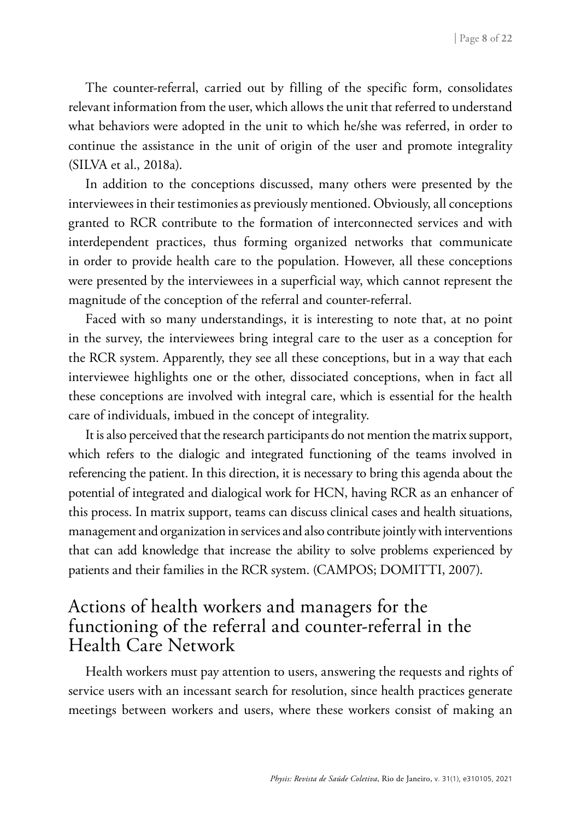The counter-referral, carried out by filling of the specific form, consolidates relevant information from the user, which allows the unit that referred to understand what behaviors were adopted in the unit to which he/she was referred, in order to continue the assistance in the unit of origin of the user and promote integrality (SILVA et al., 2018a).

In addition to the conceptions discussed, many others were presented by the interviewees in their testimonies as previously mentioned. Obviously, all conceptions granted to RCR contribute to the formation of interconnected services and with interdependent practices, thus forming organized networks that communicate in order to provide health care to the population. However, all these conceptions were presented by the interviewees in a superficial way, which cannot represent the magnitude of the conception of the referral and counter-referral.

Faced with so many understandings, it is interesting to note that, at no point in the survey, the interviewees bring integral care to the user as a conception for the RCR system. Apparently, they see all these conceptions, but in a way that each interviewee highlights one or the other, dissociated conceptions, when in fact all these conceptions are involved with integral care, which is essential for the health care of individuals, imbued in the concept of integrality.

It is also perceived that the research participants do not mention the matrix support, which refers to the dialogic and integrated functioning of the teams involved in referencing the patient. In this direction, it is necessary to bring this agenda about the potential of integrated and dialogical work for HCN, having RCR as an enhancer of this process. In matrix support, teams can discuss clinical cases and health situations, management and organization in services and also contribute jointly with interventions that can add knowledge that increase the ability to solve problems experienced by patients and their families in the RCR system. (CAMPOS; DOMITTI, 2007).

### Actions of health workers and managers for the functioning of the referral and counter-referral in the Health Care Network

Health workers must pay attention to users, answering the requests and rights of service users with an incessant search for resolution, since health practices generate meetings between workers and users, where these workers consist of making an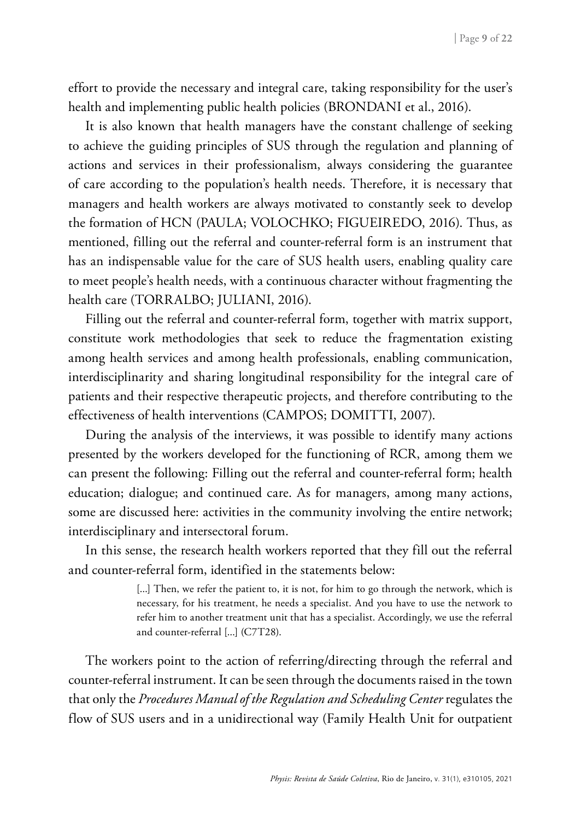effort to provide the necessary and integral care, taking responsibility for the user's health and implementing public health policies (BRONDANI et al., 2016).

It is also known that health managers have the constant challenge of seeking to achieve the guiding principles of SUS through the regulation and planning of actions and services in their professionalism, always considering the guarantee of care according to the population's health needs. Therefore, it is necessary that managers and health workers are always motivated to constantly seek to develop the formation of HCN (PAULA; VOLOCHKO; FIGUEIREDO, 2016). Thus, as mentioned, filling out the referral and counter-referral form is an instrument that has an indispensable value for the care of SUS health users, enabling quality care to meet people's health needs, with a continuous character without fragmenting the health care (TORRALBO; JULIANI, 2016).

Filling out the referral and counter-referral form, together with matrix support, constitute work methodologies that seek to reduce the fragmentation existing among health services and among health professionals, enabling communication, interdisciplinarity and sharing longitudinal responsibility for the integral care of patients and their respective therapeutic projects, and therefore contributing to the effectiveness of health interventions (CAMPOS; DOMITTI, 2007).

During the analysis of the interviews, it was possible to identify many actions presented by the workers developed for the functioning of RCR, among them we can present the following: Filling out the referral and counter-referral form; health education; dialogue; and continued care. As for managers, among many actions, some are discussed here: activities in the community involving the entire network; interdisciplinary and intersectoral forum.

In this sense, the research health workers reported that they fill out the referral and counter-referral form, identified in the statements below:

> [...] Then, we refer the patient to, it is not, for him to go through the network, which is necessary, for his treatment, he needs a specialist. And you have to use the network to refer him to another treatment unit that has a specialist. Accordingly, we use the referral and counter-referral [...] (C7T28).

The workers point to the action of referring/directing through the referral and counter-referral instrument. It can be seen through the documents raised in the town that only the *Procedures Manual of the Regulation and Scheduling Center* regulates the flow of SUS users and in a unidirectional way (Family Health Unit for outpatient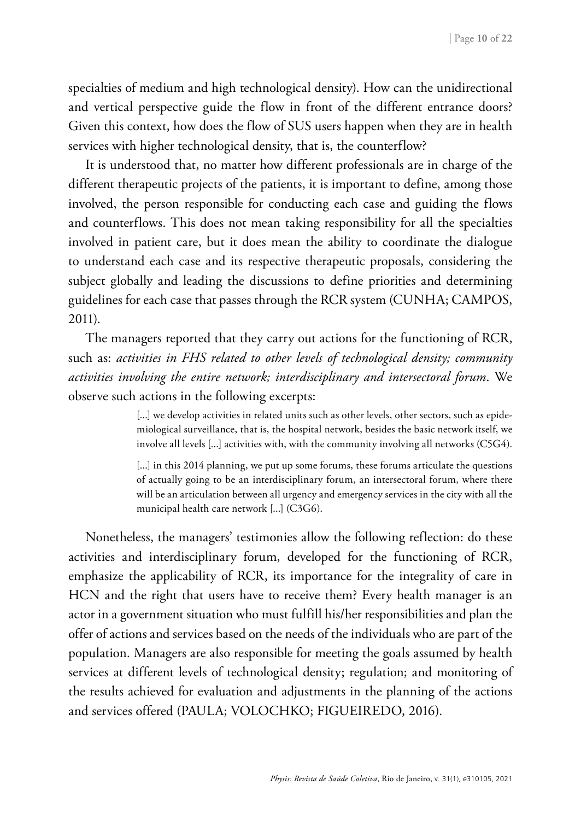specialties of medium and high technological density). How can the unidirectional and vertical perspective guide the flow in front of the different entrance doors? Given this context, how does the flow of SUS users happen when they are in health services with higher technological density, that is, the counterflow?

It is understood that, no matter how different professionals are in charge of the different therapeutic projects of the patients, it is important to define, among those involved, the person responsible for conducting each case and guiding the flows and counterflows. This does not mean taking responsibility for all the specialties involved in patient care, but it does mean the ability to coordinate the dialogue to understand each case and its respective therapeutic proposals, considering the subject globally and leading the discussions to define priorities and determining guidelines for each case that passes through the RCR system (CUNHA; CAMPOS, 2011).

The managers reported that they carry out actions for the functioning of RCR, such as: *activities in FHS related to other levels of technological density; community activities involving the entire network; interdisciplinary and intersectoral forum*. We observe such actions in the following excerpts:

> [...] we develop activities in related units such as other levels, other sectors, such as epidemiological surveillance, that is, the hospital network, besides the basic network itself, we involve all levels [...] activities with, with the community involving all networks (C5G4).

> [...] in this 2014 planning, we put up some forums, these forums articulate the questions of actually going to be an interdisciplinary forum, an intersectoral forum, where there will be an articulation between all urgency and emergency services in the city with all the municipal health care network [...] (C3G6).

Nonetheless, the managers' testimonies allow the following reflection: do these activities and interdisciplinary forum, developed for the functioning of RCR, emphasize the applicability of RCR, its importance for the integrality of care in HCN and the right that users have to receive them? Every health manager is an actor in a government situation who must fulfill his/her responsibilities and plan the offer of actions and services based on the needs of the individuals who are part of the population. Managers are also responsible for meeting the goals assumed by health services at different levels of technological density; regulation; and monitoring of the results achieved for evaluation and adjustments in the planning of the actions and services offered (PAULA; VOLOCHKO; FIGUEIREDO, 2016).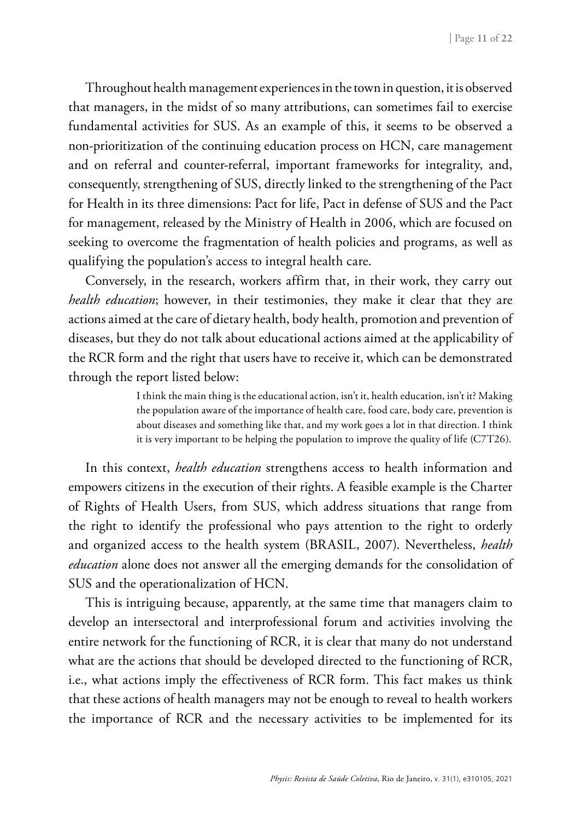Throughout health management experiences in the town in question, it is observed that managers, in the midst of so many attributions, can sometimes fail to exercise fundamental activities for SUS. As an example of this, it seems to be observed a non-prioritization of the continuing education process on HCN, care management and on referral and counter-referral, important frameworks for integrality, and, consequently, strengthening of SUS, directly linked to the strengthening of the Pact for Health in its three dimensions: Pact for life, Pact in defense of SUS and the Pact for management, released by the Ministry of Health in 2006, which are focused on seeking to overcome the fragmentation of health policies and programs, as well as qualifying the population's access to integral health care.

Conversely, in the research, workers affirm that, in their work, they carry out *health education*; however, in their testimonies, they make it clear that they are actions aimed at the care of dietary health, body health, promotion and prevention of diseases, but they do not talk about educational actions aimed at the applicability of the RCR form and the right that users have to receive it, which can be demonstrated through the report listed below:

> I think the main thing is the educational action, isn't it, health education, isn't it? Making the population aware of the importance of health care, food care, body care, prevention is about diseases and something like that, and my work goes a lot in that direction. I think it is very important to be helping the population to improve the quality of life (C7T26).

In this context, *health education* strengthens access to health information and empowers citizens in the execution of their rights. A feasible example is the Charter of Rights of Health Users, from SUS, which address situations that range from the right to identify the professional who pays attention to the right to orderly and organized access to the health system (BRASIL, 2007). Nevertheless, *health education* alone does not answer all the emerging demands for the consolidation of SUS and the operationalization of HCN.

This is intriguing because, apparently, at the same time that managers claim to develop an intersectoral and interprofessional forum and activities involving the entire network for the functioning of RCR, it is clear that many do not understand what are the actions that should be developed directed to the functioning of RCR, i.e., what actions imply the effectiveness of RCR form. This fact makes us think that these actions of health managers may not be enough to reveal to health workers the importance of RCR and the necessary activities to be implemented for its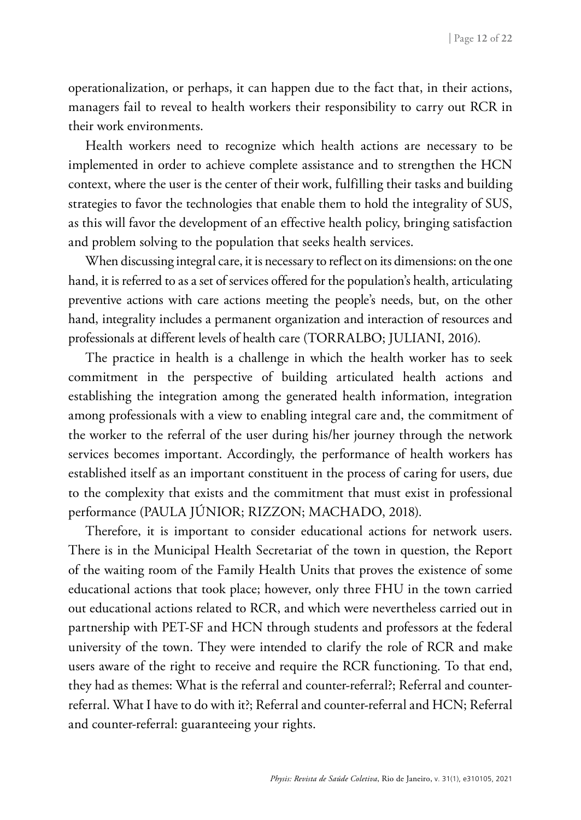operationalization, or perhaps, it can happen due to the fact that, in their actions, managers fail to reveal to health workers their responsibility to carry out RCR in their work environments.

Health workers need to recognize which health actions are necessary to be implemented in order to achieve complete assistance and to strengthen the HCN context, where the user is the center of their work, fulfilling their tasks and building strategies to favor the technologies that enable them to hold the integrality of SUS, as this will favor the development of an effective health policy, bringing satisfaction and problem solving to the population that seeks health services.

When discussing integral care, it is necessary to reflect on its dimensions: on the one hand, it is referred to as a set of services offered for the population's health, articulating preventive actions with care actions meeting the people's needs, but, on the other hand, integrality includes a permanent organization and interaction of resources and professionals at different levels of health care (TORRALBO; JULIANI, 2016).

The practice in health is a challenge in which the health worker has to seek commitment in the perspective of building articulated health actions and establishing the integration among the generated health information, integration among professionals with a view to enabling integral care and, the commitment of the worker to the referral of the user during his/her journey through the network services becomes important. Accordingly, the performance of health workers has established itself as an important constituent in the process of caring for users, due to the complexity that exists and the commitment that must exist in professional performance (PAULA JÚNIOR; RIZZON; MACHADO, 2018).

Therefore, it is important to consider educational actions for network users. There is in the Municipal Health Secretariat of the town in question, the Report of the waiting room of the Family Health Units that proves the existence of some educational actions that took place; however, only three FHU in the town carried out educational actions related to RCR, and which were nevertheless carried out in partnership with PET-SF and HCN through students and professors at the federal university of the town. They were intended to clarify the role of RCR and make users aware of the right to receive and require the RCR functioning. To that end, they had as themes: What is the referral and counter-referral?; Referral and counterreferral. What I have to do with it?; Referral and counter-referral and HCN; Referral and counter-referral: guaranteeing your rights.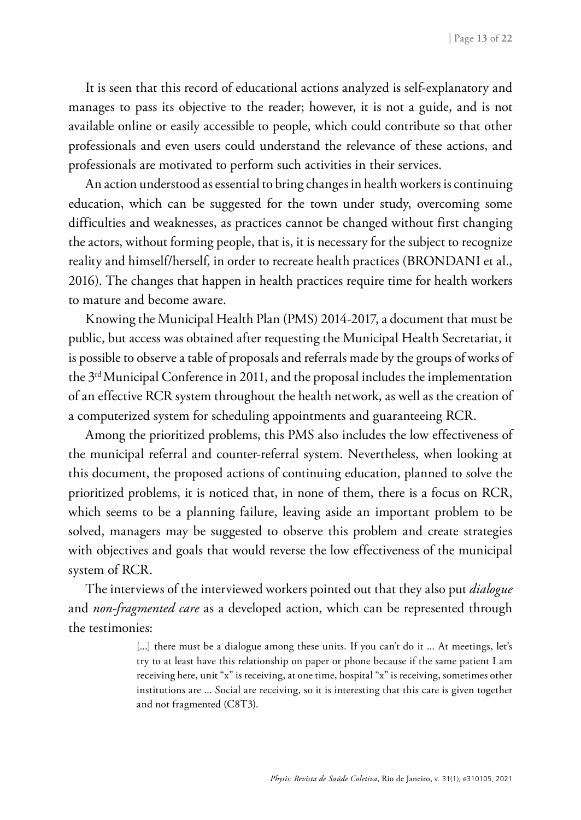It is seen that this record of educational actions analyzed is self-explanatory and manages to pass its objective to the reader; however, it is not a guide, and is not available online or easily accessible to people, which could contribute so that other professionals and even users could understand the relevance of these actions, and professionals are motivated to perform such activities in their services.

An action understood as essential to bring changes in health workers is continuing education, which can be suggested for the town under study, overcoming some difficulties and weaknesses, as practices cannot be changed without first changing the actors, without forming people, that is, it is necessary for the subject to recognize reality and himself/herself, in order to recreate health practices (BRONDANI et al., 2016). The changes that happen in health practices require time for health workers to mature and become aware.

Knowing the Municipal Health Plan (PMS) 2014-2017, a document that must be public, but access was obtained after requesting the Municipal Health Secretariat, it is possible to observe a table of proposals and referrals made by the groups of works of the 3rd Municipal Conference in 2011, and the proposal includes the implementation of an effective RCR system throughout the health network, as well as the creation of a computerized system for scheduling appointments and guaranteeing RCR.

Among the prioritized problems, this PMS also includes the low effectiveness of the municipal referral and counter-referral system. Nevertheless, when looking at this document, the proposed actions of continuing education, planned to solve the prioritized problems, it is noticed that, in none of them, there is a focus on RCR, which seems to be a planning failure, leaving aside an important problem to be solved, managers may be suggested to observe this problem and create strategies with objectives and goals that would reverse the low effectiveness of the municipal system of RCR.

The interviews of the interviewed workers pointed out that they also put *dialogue*  and *non-fragmented care* as a developed action, which can be represented through the testimonies:

> [...] there must be a dialogue among these units. If you can't do it ... At meetings, let's try to at least have this relationship on paper or phone because if the same patient I am receiving here, unit "x" is receiving, at one time, hospital "x" is receiving, sometimes other institutions are ... Social are receiving, so it is interesting that this care is given together and not fragmented (C8T3).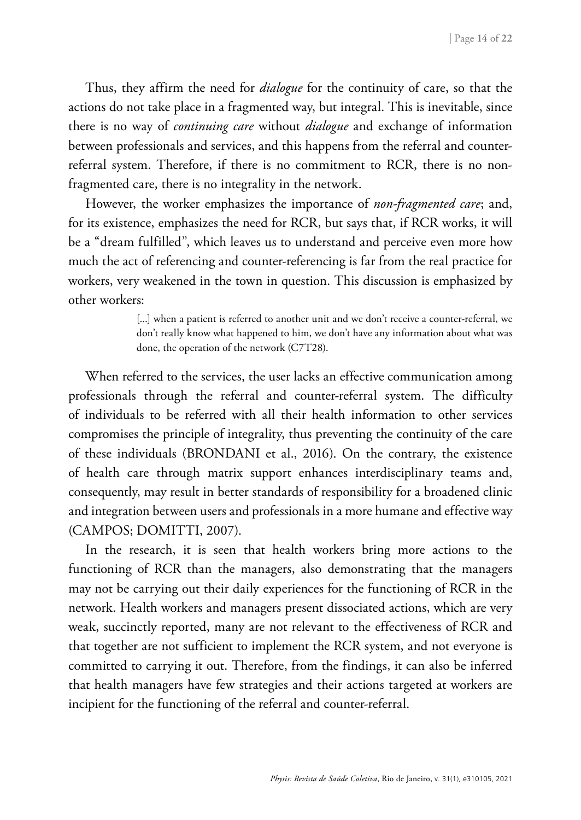Thus, they affirm the need for *dialogue* for the continuity of care, so that the actions do not take place in a fragmented way, but integral. This is inevitable, since there is no way of *continuing care* without *dialogue* and exchange of information between professionals and services, and this happens from the referral and counterreferral system. Therefore, if there is no commitment to RCR, there is no nonfragmented care, there is no integrality in the network.

However, the worker emphasizes the importance of *non-fragmented care*; and, for its existence, emphasizes the need for RCR, but says that, if RCR works, it will be a "dream fulfilled", which leaves us to understand and perceive even more how much the act of referencing and counter-referencing is far from the real practice for workers, very weakened in the town in question. This discussion is emphasized by other workers:

> [...] when a patient is referred to another unit and we don't receive a counter-referral, we don't really know what happened to him, we don't have any information about what was done, the operation of the network (C7T28).

When referred to the services, the user lacks an effective communication among professionals through the referral and counter-referral system. The difficulty of individuals to be referred with all their health information to other services compromises the principle of integrality, thus preventing the continuity of the care of these individuals (BRONDANI et al., 2016). On the contrary, the existence of health care through matrix support enhances interdisciplinary teams and, consequently, may result in better standards of responsibility for a broadened clinic and integration between users and professionals in a more humane and effective way (CAMPOS; DOMITTI, 2007).

In the research, it is seen that health workers bring more actions to the functioning of RCR than the managers, also demonstrating that the managers may not be carrying out their daily experiences for the functioning of RCR in the network. Health workers and managers present dissociated actions, which are very weak, succinctly reported, many are not relevant to the effectiveness of RCR and that together are not sufficient to implement the RCR system, and not everyone is committed to carrying it out. Therefore, from the findings, it can also be inferred that health managers have few strategies and their actions targeted at workers are incipient for the functioning of the referral and counter-referral.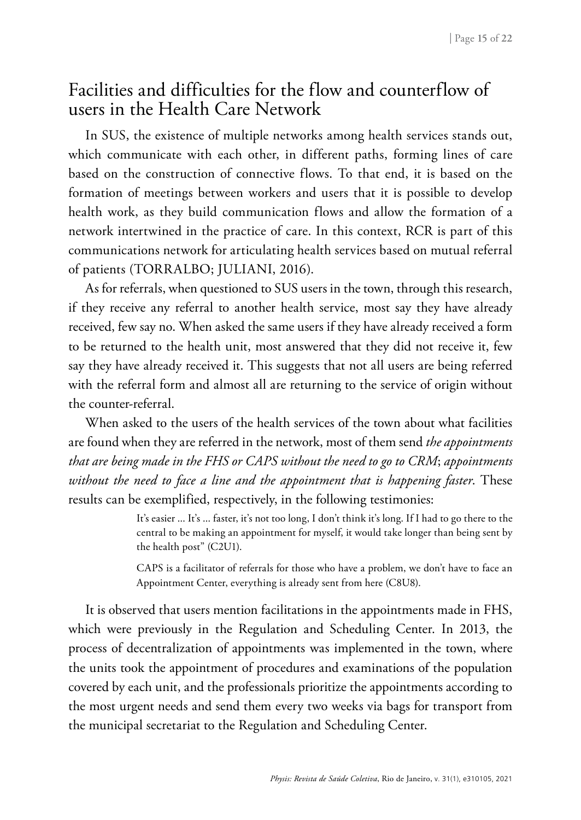### Facilities and difficulties for the flow and counterflow of users in the Health Care Network

In SUS, the existence of multiple networks among health services stands out, which communicate with each other, in different paths, forming lines of care based on the construction of connective flows. To that end, it is based on the formation of meetings between workers and users that it is possible to develop health work, as they build communication flows and allow the formation of a network intertwined in the practice of care. In this context, RCR is part of this communications network for articulating health services based on mutual referral of patients (TORRALBO; JULIANI, 2016).

As for referrals, when questioned to SUS users in the town, through this research, if they receive any referral to another health service, most say they have already received, few say no. When asked the same users if they have already received a form to be returned to the health unit, most answered that they did not receive it, few say they have already received it. This suggests that not all users are being referred with the referral form and almost all are returning to the service of origin without the counter-referral.

When asked to the users of the health services of the town about what facilities are found when they are referred in the network, most of them send *the appointments that are being made in the FHS or CAPS without the need to go to CRM*; *appointments without the need to face a line and the appointment that is happening faster*. These results can be exemplified, respectively, in the following testimonies:

> It's easier ... It's ... faster, it's not too long, I don't think it's long. If I had to go there to the central to be making an appointment for myself, it would take longer than being sent by the health post" (C2U1).

> CAPS is a facilitator of referrals for those who have a problem, we don't have to face an Appointment Center, everything is already sent from here (C8U8).

It is observed that users mention facilitations in the appointments made in FHS, which were previously in the Regulation and Scheduling Center. In 2013, the process of decentralization of appointments was implemented in the town, where the units took the appointment of procedures and examinations of the population covered by each unit, and the professionals prioritize the appointments according to the most urgent needs and send them every two weeks via bags for transport from the municipal secretariat to the Regulation and Scheduling Center.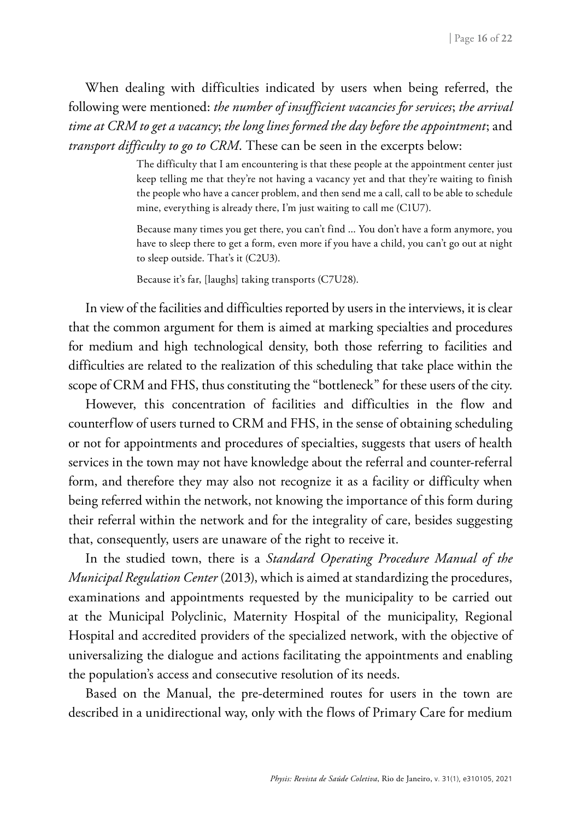When dealing with difficulties indicated by users when being referred, the following were mentioned: *the number of insufficient vacancies for services*; *the arrival time at CRM to get a vacancy*; *the long lines formed the day before the appointment*; and *transport difficulty to go to CRM*. These can be seen in the excerpts below:

> The difficulty that I am encountering is that these people at the appointment center just keep telling me that they're not having a vacancy yet and that they're waiting to finish the people who have a cancer problem, and then send me a call, call to be able to schedule mine, everything is already there, I'm just waiting to call me (C1U7).

> Because many times you get there, you can't find ... You don't have a form anymore, you have to sleep there to get a form, even more if you have a child, you can't go out at night to sleep outside. That's it (C2U3).

Because it's far, [laughs] taking transports (C7U28).

In view of the facilities and difficulties reported by users in the interviews, it is clear that the common argument for them is aimed at marking specialties and procedures for medium and high technological density, both those referring to facilities and difficulties are related to the realization of this scheduling that take place within the scope of CRM and FHS, thus constituting the "bottleneck" for these users of the city.

However, this concentration of facilities and difficulties in the flow and counterflow of users turned to CRM and FHS, in the sense of obtaining scheduling or not for appointments and procedures of specialties, suggests that users of health services in the town may not have knowledge about the referral and counter-referral form, and therefore they may also not recognize it as a facility or difficulty when being referred within the network, not knowing the importance of this form during their referral within the network and for the integrality of care, besides suggesting that, consequently, users are unaware of the right to receive it.

In the studied town, there is a *Standard Operating Procedure Manual of the Municipal Regulation Center* (2013), which is aimed at standardizing the procedures, examinations and appointments requested by the municipality to be carried out at the Municipal Polyclinic, Maternity Hospital of the municipality, Regional Hospital and accredited providers of the specialized network, with the objective of universalizing the dialogue and actions facilitating the appointments and enabling the population's access and consecutive resolution of its needs.

Based on the Manual, the pre-determined routes for users in the town are described in a unidirectional way, only with the flows of Primary Care for medium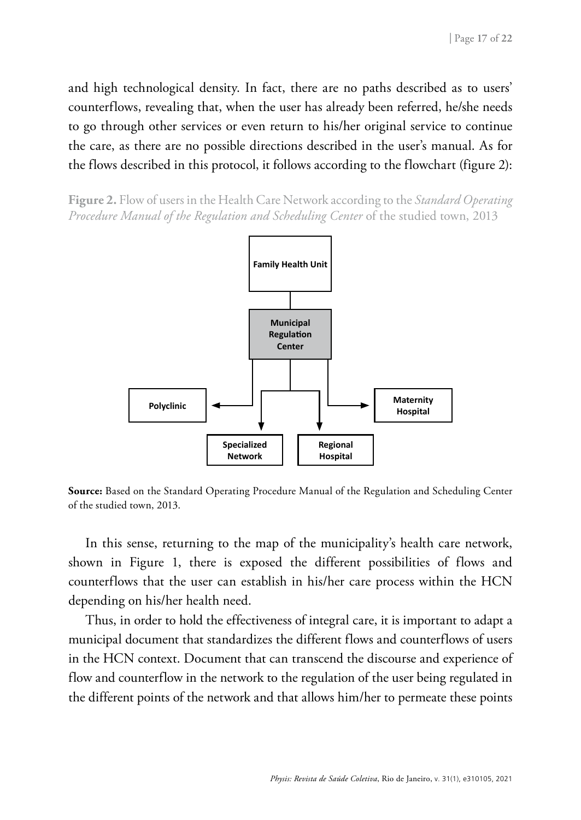and high technological density. In fact, there are no paths described as to users' counterflows, revealing that, when the user has already been referred, he/she needs to go through other services or even return to his/her original service to continue the care, as there are no possible directions described in the user's manual. As for the flows described in this protocol, it follows according to the flowchart (figure 2):

**Figure 2.** Flow of users in the Health Care Network according to the *Standard Operating Procedure Manual of the Regulation and Scheduling Center* of the studied town, 2013

![](_page_16_Figure_3.jpeg)

**Source:** Based on the Standard Operating Procedure Manual of the Regulation and Scheduling Center of the studied town, 2013.

In this sense, returning to the map of the municipality's health care network, shown in Figure 1, there is exposed the different possibilities of flows and counterflows that the user can establish in his/her care process within the HCN depending on his/her health need.

Thus, in order to hold the effectiveness of integral care, it is important to adapt a municipal document that standardizes the different flows and counterflows of users in the HCN context. Document that can transcend the discourse and experience of flow and counterflow in the network to the regulation of the user being regulated in the different points of the network and that allows him/her to permeate these points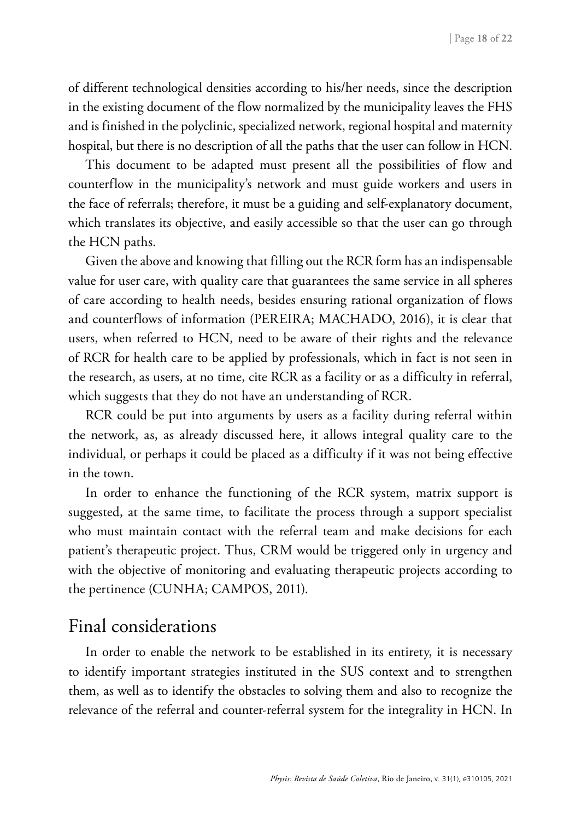of different technological densities according to his/her needs, since the description in the existing document of the flow normalized by the municipality leaves the FHS and is finished in the polyclinic, specialized network, regional hospital and maternity hospital, but there is no description of all the paths that the user can follow in HCN.

This document to be adapted must present all the possibilities of flow and counterflow in the municipality's network and must guide workers and users in the face of referrals; therefore, it must be a guiding and self-explanatory document, which translates its objective, and easily accessible so that the user can go through the HCN paths.

Given the above and knowing that filling out the RCR form has an indispensable value for user care, with quality care that guarantees the same service in all spheres of care according to health needs, besides ensuring rational organization of flows and counterflows of information (PEREIRA; MACHADO, 2016), it is clear that users, when referred to HCN, need to be aware of their rights and the relevance of RCR for health care to be applied by professionals, which in fact is not seen in the research, as users, at no time, cite RCR as a facility or as a difficulty in referral, which suggests that they do not have an understanding of RCR.

RCR could be put into arguments by users as a facility during referral within the network, as, as already discussed here, it allows integral quality care to the individual, or perhaps it could be placed as a difficulty if it was not being effective in the town.

In order to enhance the functioning of the RCR system, matrix support is suggested, at the same time, to facilitate the process through a support specialist who must maintain contact with the referral team and make decisions for each patient's therapeutic project. Thus, CRM would be triggered only in urgency and with the objective of monitoring and evaluating therapeutic projects according to the pertinence (CUNHA; CAMPOS, 2011).

#### Final considerations

In order to enable the network to be established in its entirety, it is necessary to identify important strategies instituted in the SUS context and to strengthen them, as well as to identify the obstacles to solving them and also to recognize the relevance of the referral and counter-referral system for the integrality in HCN. In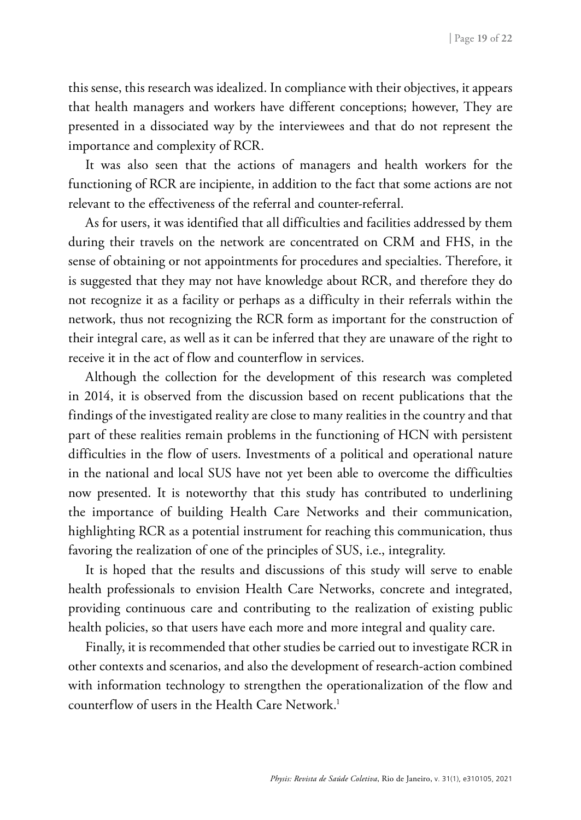this sense, this research was idealized. In compliance with their objectives, it appears that health managers and workers have different conceptions; however, They are presented in a dissociated way by the interviewees and that do not represent the importance and complexity of RCR.

It was also seen that the actions of managers and health workers for the functioning of RCR are incipiente, in addition to the fact that some actions are not relevant to the effectiveness of the referral and counter-referral.

As for users, it was identified that all difficulties and facilities addressed by them during their travels on the network are concentrated on CRM and FHS, in the sense of obtaining or not appointments for procedures and specialties. Therefore, it is suggested that they may not have knowledge about RCR, and therefore they do not recognize it as a facility or perhaps as a difficulty in their referrals within the network, thus not recognizing the RCR form as important for the construction of their integral care, as well as it can be inferred that they are unaware of the right to receive it in the act of flow and counterflow in services.

Although the collection for the development of this research was completed in 2014, it is observed from the discussion based on recent publications that the findings of the investigated reality are close to many realities in the country and that part of these realities remain problems in the functioning of HCN with persistent difficulties in the flow of users. Investments of a political and operational nature in the national and local SUS have not yet been able to overcome the difficulties now presented. It is noteworthy that this study has contributed to underlining the importance of building Health Care Networks and their communication, highlighting RCR as a potential instrument for reaching this communication, thus favoring the realization of one of the principles of SUS, i.e., integrality.

It is hoped that the results and discussions of this study will serve to enable health professionals to envision Health Care Networks, concrete and integrated, providing continuous care and contributing to the realization of existing public health policies, so that users have each more and more integral and quality care.

Finally, it is recommended that other studies be carried out to investigate RCR in other contexts and scenarios, and also the development of research-action combined with information technology to strengthen the operationalization of the flow and counterflow of users in the Health Care Network.<sup>1</sup>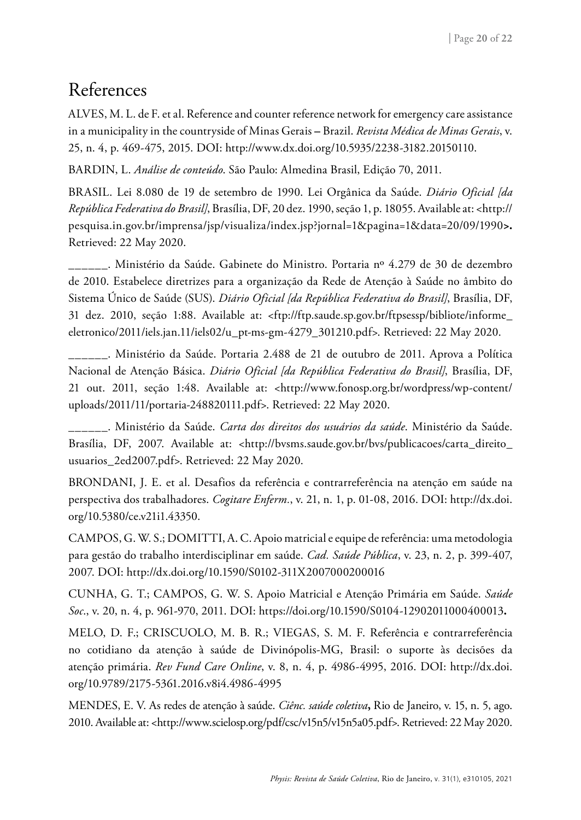### References

ALVES, M. L. de F. et al. Reference and counter reference network for emergency care assistance in a municipality in the countryside of Minas Gerais **–** Brazil. *Revista Médica de Minas Gerais*, v. 25, n. 4, p. 469-475, 2015. DOI: http://www.dx.doi.org/10.5935/2238-3182.20150110.

BARDIN, L. *Análise de conteúdo*. São Paulo: Almedina Brasil, Edição 70, 2011.

BRASIL. Lei 8.080 de 19 de setembro de 1990. Lei Orgânica da Saúde. *Diário Oficial [da República Federativa do Brasil]*, Brasília, DF, 20 dez. 1990, seção 1, p. 18055. Available at: [<http://](http://pesquisa.in.gov.br/imprensa/jsp/visualiza/index.jsp?jornal=1&pagina=1&data=20/09/1990) [pesquisa.in.gov.br/imprensa/jsp/visualiza/index.jsp?jornal=1&pagina=1&data=20/09/1990](http://pesquisa.in.gov.br/imprensa/jsp/visualiza/index.jsp?jornal=1&pagina=1&data=20/09/1990)**>.** Retrieved: 22 May 2020.

\_\_\_\_\_\_. Ministério da Saúde. Gabinete do Ministro. Portaria nº 4.279 de 30 de dezembro de 2010. Estabelece diretrizes para a organização da Rede de Atenção à Saúde no âmbito do Sistema Único de Saúde (SUS). *Diário Oficial [da República Federativa do Brasil]*, Brasília, DF, 31 dez. 2010, seção 1:88. Available at: <ftp://ftp.saude.sp.gov.br/ftpsessp/bibliote/informe\_ eletronico/2011/iels.jan.11/iels02/u\_pt-ms-gm-4279\_301210.pdf>. Retrieved: 22 May 2020.

\_\_\_\_\_\_. Ministério da Saúde. Portaria 2.488 de 21 de outubro de 2011. Aprova a Política Nacional de Atenção Básica. *Diário Oficial [da República Federativa do Brasil]*, Brasília, DF, 21 out. 2011, seção 1:48. Available at: <http://www.fonosp.org.br/wordpress/wp-content/ uploads/2011/11/portaria-248820111.pdf>. Retrieved: 22 May 2020.

\_\_\_\_\_\_. Ministério da Saúde. *Carta dos direitos dos usuários da saúde*. Ministério da Saúde. Brasília, DF, 2007. Available at: <http://bvsms.saude.gov.br/bvs/publicacoes/carta\_direito\_ usuarios\_2ed2007.pdf>. Retrieved: 22 May 2020.

BRONDANI, J. E. et al. Desafios da referência e contrarreferência na atenção em saúde na perspectiva dos trabalhadores. *Cogitare Enferm.*, v. 21, n. 1, p. 01-08, 2016. DOI: http://dx.doi. org/10.5380/ce.v21i1.43350.

CAMPOS, G. W. S.; DOMITTI, A. C. Apoio matricial e equipe de referência: uma metodologia para gestão do trabalho interdisciplinar em saúde. *Cad. Saúde Pública*, v. 23, n. 2, p. 399-407, 2007. DOI: http://dx.doi.org/10.1590/S0102-311X2007000200016

CUNHA, G. T.; CAMPOS, G. W. S. Apoio Matricial e Atenção Primária em Saúde. *Saúde Soc*., v. 20, n. 4, p. 961-970, 2011. DOI: <https://doi.org/10.1590/S0104-12902011000400013>**.**

MELO, D. F.; CRISCUOLO, M. B. R.; VIEGAS, S. M. F. Referência e contrarreferência no cotidiano da atenção à saúde de Divinópolis-MG, Brasil: o suporte às decisões da atenção primária. *Rev Fund Care Online*, v. 8, n. 4, p. 4986-4995, 2016. DOI: [http://dx.doi.](http://dx.doi.org/10.9789/2175-5361.2016.v8i4.4986-4995) [org/10.9789/2175-5361.2016.v8i4.4986-4995](http://dx.doi.org/10.9789/2175-5361.2016.v8i4.4986-4995)

MENDES, E. V. As redes de atenção à saúde. *Ciênc. saúde coletiva***,** Rio de Janeiro, v. 15, n. 5, ago. 2010. Available at: <http://www.scielosp.org/pdf/csc/v15n5/v15n5a05.pdf>. Retrieved: 22 May 2020.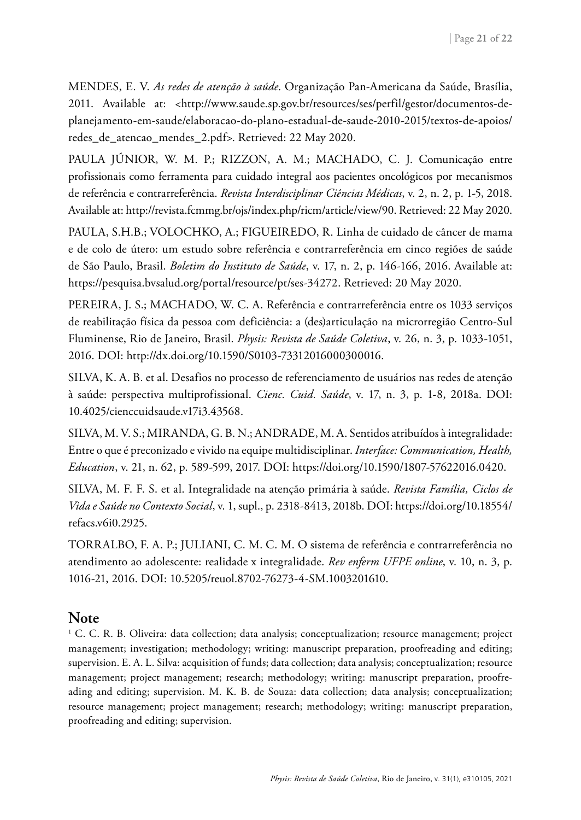MENDES, E. V. *As redes de atenção à saúde*. Organização Pan-Americana da Saúde, Brasília, 2011. Available at: [<http://www.saude.sp.gov.br/resources/ses/perfil/gestor/documentos-de](http://www.saude.sp.gov.br/resources/ses/perfil/gestor/documentos-de-planejamento-em-saude/elaboracao-do-plano-estadual-de-saude-2010-2015/textos-de-apoios/redes_de_atencao_mendes_2.pdf)[planejamento-em-saude/elaboracao-do-plano-estadual-de-saude-2010-2015/textos-de-apoios/](http://www.saude.sp.gov.br/resources/ses/perfil/gestor/documentos-de-planejamento-em-saude/elaboracao-do-plano-estadual-de-saude-2010-2015/textos-de-apoios/redes_de_atencao_mendes_2.pdf) [redes\\_de\\_atencao\\_mendes\\_2.pdf](http://www.saude.sp.gov.br/resources/ses/perfil/gestor/documentos-de-planejamento-em-saude/elaboracao-do-plano-estadual-de-saude-2010-2015/textos-de-apoios/redes_de_atencao_mendes_2.pdf)>. Retrieved: 22 May 2020.

PAULA JÚNIOR, W. M. P.; RIZZON, A. M.; MACHADO, C. J. Comunicação entre profissionais como ferramenta para cuidado integral aos pacientes oncológicos por mecanismos de referência e contrarreferência. *Revista Interdisciplinar Ciências Médicas*, v. 2, n. 2, p. 1-5, 2018. Available at: http://revista.fcmmg.br/ojs/index.php/ricm/article/view/90. Retrieved: 22 May 2020.

PAULA, S.H.B.; VOLOCHKO, A.; FIGUEIREDO, R. Linha de cuidado de câncer de mama e de colo de útero: um estudo sobre referência e contrarreferência em cinco regiões de saúde de São Paulo, Brasil. *Boletim do Instituto de Saúde*, v. 17, n. 2, p. 146-166, 2016. Available at: https://pesquisa.bvsalud.org/portal/resource/pt/ses-34272. Retrieved: 20 May 2020.

PEREIRA, J. S.; MACHADO, W. C. A. Referência e contrarreferência entre os 1033 serviços de reabilitação física da pessoa com deficiência: a (des)articulação na microrregião Centro-Sul Fluminense, Rio de Janeiro, Brasil. *Physis: Revista de Saúde Coletiva*, v. 26, n. 3, p. 1033-1051, 2016. DOI: http://dx.doi.org/10.1590/S0103-73312016000300016.

SILVA, K. A. B. et al. Desafios no processo de referenciamento de usuários nas redes de atenção à saúde: perspectiva multiprofissional. *Cienc. Cuid. Saúde*, v. 17, n. 3, p. 1-8, 2018a. DOI: 10.4025/cienccuidsaude.v17i3.43568.

SILVA, M. V. S.; MIRANDA, G. B. N.; ANDRADE, M. A. Sentidos atribuídos à integralidade: Entre o que é preconizado e vivido na equipe multidisciplinar. *Interface: Communication, Health, Education*, v. 21, n. 62, p. 589-599, 2017. DOI: https://doi.org/10.1590/1807-57622016.0420.

SILVA, M. F. F. S. et al. Integralidade na atenção primária à saúde. *Revista Família, Ciclos de Vida e Saúde no Contexto Social*, v. 1, supl., p. 2318-8413, 2018b. DOI: https://doi.org/10.18554/ refacs.v6i0.2925.

TORRALBO, F. A. P.; JULIANI, C. M. C. M. O sistema de referência e contrarreferência no atendimento ao adolescente: realidade x integralidade. *Rev enferm UFPE online*, v. 10, n. 3, p. 1016-21, 2016. DOI: 10.5205/reuol.8702-76273-4-SM.1003201610.

#### **Note**

1 C. C. R. B. Oliveira: data collection; data analysis; conceptualization; resource management; project management; investigation; methodology; writing: manuscript preparation, proofreading and editing; supervision. E. A. L. Silva: acquisition of funds; data collection; data analysis; conceptualization; resource management; project management; research; methodology; writing: manuscript preparation, proofreading and editing; supervision. M. K. B. de Souza: data collection; data analysis; conceptualization; resource management; project management; research; methodology; writing: manuscript preparation, proofreading and editing; supervision.